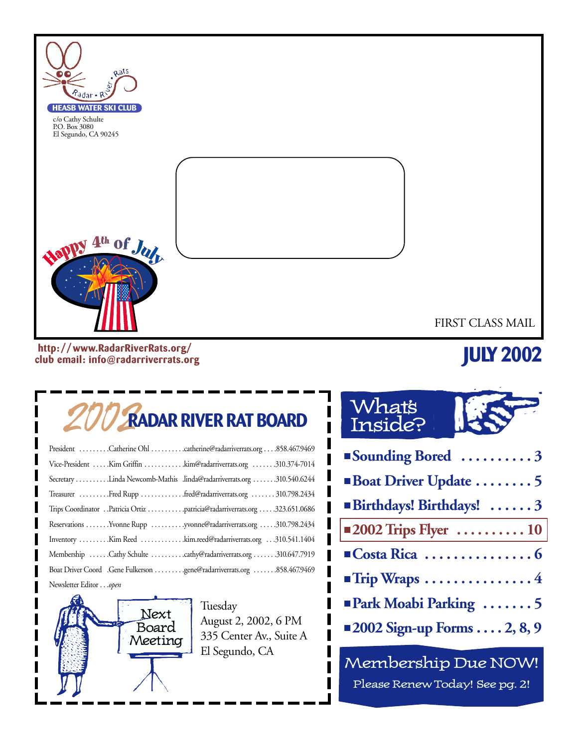

**http: //www.RadarRiverRats.org/ club email: info@radarriverrats.org**

# **JULY 2002**

# 2002**RADAR RIVER RAT BOARD**

| President Catherine Ohl catherine@radarriverrats.org858.467.9469          |
|---------------------------------------------------------------------------|
| Vice-President Kim Griffin kim@radarriverrats.org 310.374-7014            |
| Secretary Linda Newcomb-Mathis .linda@radarriverrats.org 310.540.6244     |
| Treasurer Fred Rupp fred@radarriverrats.org  310.798.2434                 |
| Trips Coordinator Patricia Ortiz patricia@radarriverrats.org 323.651.0686 |
| Reservations Yvonne Rupp yvonne@radarriverrats.org 310.798.2434           |
| Inventory Kim Reed kim.reed@radarriverrats.org 310.541.1404               |
| Membership Cathy Schulte cathy@radarriverrats.org 310.647.7919            |
| Boat Driver Coord .Gene Fulkerson gene@radarriverrats.org 858.467.9469    |
| Newsletter Editoropen                                                     |



Tuesday August 2, 2002, 6 PM 335 Center Av., Suite A El Segundo, CA

# What's Inside?

| Sounding Bored 3                                     |
|------------------------------------------------------|
| Boat Driver Update 5                                 |
| Birthdays! Birthdays!  3                             |
| $\vert$ = 2002 Trips Flyer $\dots\dots\dots 10\vert$ |
|                                                      |
| $\blacksquare$ Trip Wraps 4                          |
| <b>Park Moabi Parking 5</b>                          |
| $\blacksquare$ 2002 Sign-up Forms  2, 8, 9           |

Membership Due NOW! Please Renew Today! See pg. 2!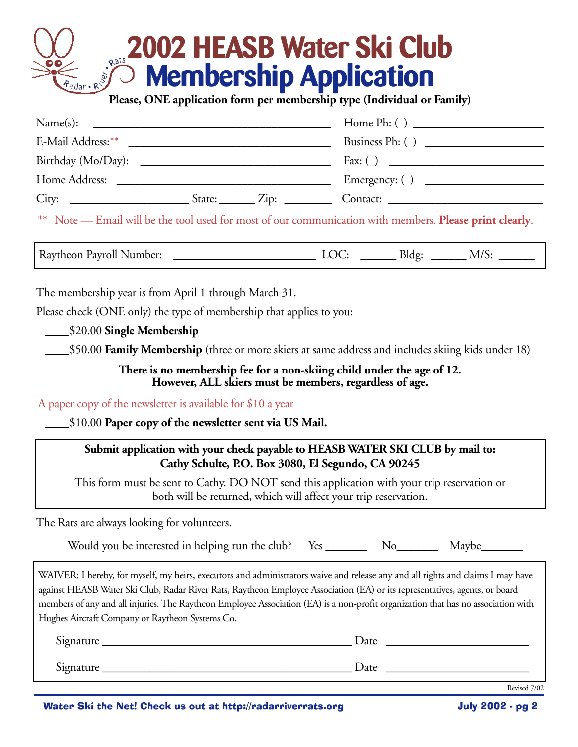# **2002 HEASB Water Ski Club Membership Application Please, ONE application form per membership type (Individual or Family)**

| Name(s):<br><u> 2000 - Jan Barnett, mars ann an t-Amhainn an t-Amhainn an t-Amhainn an t-Amhainn an t-Amhainn an t-Amhainn an </u>                                                                                             |                                                           |
|--------------------------------------------------------------------------------------------------------------------------------------------------------------------------------------------------------------------------------|-----------------------------------------------------------|
| E-Mail Address: ** International Address and Address and Address and Address and Address and Address and Address and Address and Address and Address and Address and Address and Address and Address and Address and Address a |                                                           |
| Birthday (Mo/Day):                                                                                                                                                                                                             |                                                           |
| Home Address:                                                                                                                                                                                                                  | Emergency: $\begin{pmatrix} 1 & 1 \\ 1 & 1 \end{pmatrix}$ |
| City:<br>$_$ State: $_$ $\frac{Zip:$ $_$                                                                                                                                                                                       | Contact:                                                  |

\*\* Note — Email will be the tool used for most of our communication with members. **Please print clearly**.

Raytheon Payroll Number: \_\_\_\_\_\_\_\_\_\_\_\_\_\_\_\_\_\_\_\_\_\_\_\_ LOC: \_\_\_\_\_\_ Bldg: \_\_\_\_\_\_ M/S: \_\_\_\_\_\_

The membership year is from April 1 through March 31.

Please check (ONE only) the type of membership that applies to you:

\_\_\_\_\$20.00 **Single Membership**

\_\_\_\_\$50.00 **Family Membership** (three or more skiers at same address and includes skiing kids under 18)

**There is no membership fee for a non-skiing child under the age of 12. However, ALL skiers must be members, regardless of age.**

A paper copy of the newsletter is available for \$10 a year

\_\_\_\_\$10.00 **Paper copy of the newsletter sent via US Mail.**

**Submit application with your check payable to HEASB WATER SKI CLUB by mail to: Cathy Schulte, P.O. Box 3080, El Segundo, CA 90245**

This form must be sent to Cathy. DO NOT send this application with your trip reservation or both will be returned, which will affect your trip reservation.

The Rats are always looking for volunteers.

Would you be interested in helping run the club? Yes \_\_\_\_\_\_\_\_\_\_ No\_\_\_\_\_\_\_\_\_\_ Maybe\_\_\_

WAIVER: I hereby, for myself, my heirs, executors and administrators waive and release any and all rights and claims I may have against HEASB Water Ski Club, Radar River Rats, Raytheon Employee Association (EA) or its representatives, agents, or board members of any and all injuries. The Raytheon Employee Association (EA) is a non-profit organization that has no association with Hughes Aircraft Company or Raytheon Systems Co.

| Signature | Date |
|-----------|------|
| Signature | Date |

Water Ski the Net! Check us out at http://radarriverrats.org **Sharehouse** July 2002 - pg 2

Revised 7/02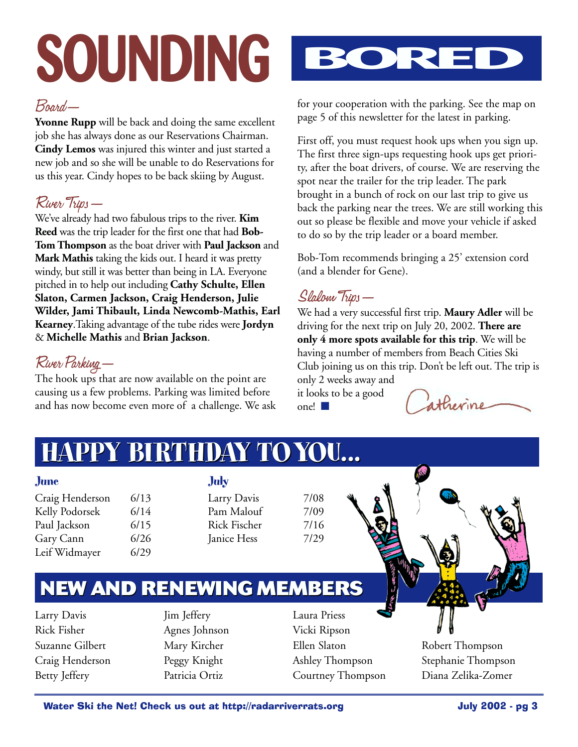# **SOUNDING BORED**

#### Board—

**Yvonne Rupp** will be back and doing the same excellent job she has always done as our Reservations Chairman. **Cindy Lemos** was injured this winter and just started a new job and so she will be unable to do Reservations for us this year. Cindy hopes to be back skiing by August.

### River Trips—

We've already had two fabulous trips to the river. **Kim Reed** was the trip leader for the first one that had **Bob-Tom Thompson** as the boat driver with **Paul Jackson** and **Mark Mathis** taking the kids out. I heard it was pretty windy, but still it was better than being in LA. Everyone pitched in to help out including **Cathy Schulte, Ellen Slaton, Carmen Jackson, Craig Henderson, Julie Wilder, Jami Thibault, Linda Newcomb-Mathis, Earl Kearney**.Taking advantage of the tube rides were **Jordyn** & **Michelle Mathis** and **Brian Jackson**.

## River Parking—

The hook ups that are now available on the point are causing us a few problems. Parking was limited before and has now become even more of a challenge. We ask



for your cooperation with the parking. See the map on page 5 of this newsletter for the latest in parking.

First off, you must request hook ups when you sign up. The first three sign-ups requesting hook ups get priority, after the boat drivers, of course. We are reserving the spot near the trailer for the trip leader. The park brought in a bunch of rock on our last trip to give us back the parking near the trees. We are still working this out so please be flexible and move your vehicle if asked to do so by the trip leader or a board member.

Bob-Tom recommends bringing a 25' extension cord (and a blender for Gene).

### Slalom Trips—

We had a very successful first trip. **Maury Adler** will be driving for the next trip on July 20, 2002. **There are only 4 more spots available for this trip**. We will be having a number of members from Beach Cities Ski Club joining us on this trip. Don't be left out. The trip is only 2 weeks away and

it looks to be a good one! ■

atherine

# **HAPPY BIRTHDAY TOYOU... HAPPY BIRTHDAY TOYOU...**

- **June**
- Craig Henderson 6/13 Kelly Podorsek 6/14 Paul Jackson 6/15 Gary Cann 6/26 Leif Widmayer 6/29

**July** Larry Davis 7/08  $Pam$  Malouf  $7/09$ Rick Fischer 7/16 Janice Hess 7/29

# **NEW AND RENEWING MEMBERS NEW AND RENEWING MEMBERS**

Larry Davis Rick Fisher Suzanne Gilbert Craig Henderson Betty Jeffery

Jim Jeffery Agnes Johnson Mary Kircher Peggy Knight Patricia Ortiz

Laura Priess Vicki Ripson Ellen Slaton Ashley Thompson Courtney Thompson

Robert Thompson Stephanie Thompson Diana Zelika-Zomer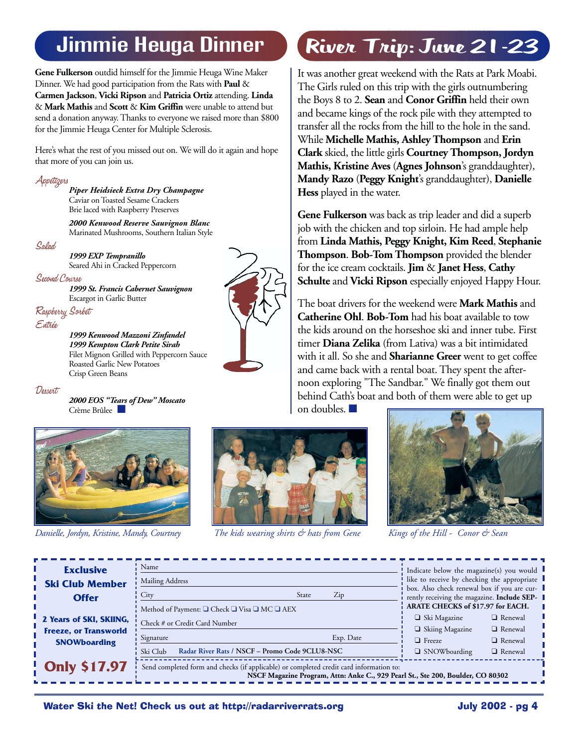# Jimmie Heuga Dinner

**Gene Fulkerson** outdid himself for the Jimmie Heuga Wine Maker Dinner. We had good participation from the Rats with **Paul** & **Carmen Jackson**, **Vicki Ripson** and **Patricia Ortiz** attending. **Linda** & **Mark Mathis** and **Scott** & **Kim Griffin** were unable to attend but send a donation anyway. Thanks to everyone we raised more than \$800 for the Jimmie Heuga Center for Multiple Sclerosis.

Here's what the rest of you missed out on. We will do it again and hope that more of you can join us.

Appetizers*Piper Heidsieck Extra Dry Champagne* Caviar on Toasted Sesame Crackers Brie laced with Raspberry Preserves

> *2000 Kenwood Reserve Sauvignon Blanc* Marinated Mushrooms, Southern Italian Style

Salad

*1999 EXP Tempranillo* Seared Ahi in Cracked Peppercorn

Second Course

*1999 St. Francis Cabernet Sauvignon* Escargot in Garlic Butter

Raspberry Sorbet Entrée

> *1999 Kenwood Mazzoni Zinfandel 1999 Kempton Clark Petite Sirah* Filet Mignon Grilled with Peppercorn Sauce Roasted Garlic New Potatoes Crisp Green Beans

Dessert

*2000 EOS "Tears of Dew" Moscato* Crème Brûlee





*Danielle, Jordyn, Kristine, Mandy, Courtney The kids wearing shirts & hats from Gene Kings of the Hill - Conor & Sean*

# River Trip: June 21-23

It was another great weekend with the Rats at Park Moabi. The Girls ruled on this trip with the girls outnumbering the Boys 8 to 2. **Sean** and **Conor Griffin** held their own and became kings of the rock pile with they attempted to transfer all the rocks from the hill to the hole in the sand. While **Michelle Mathis, Ashley Thompson** and **Erin Clark** skied, the little girls **Courtney Thompson, Jordyn Mathis, Kristine Aves** (**Agnes Johnson**'s granddaughter), **Mandy Razo** (**Peggy Knight**'s granddaughter), **Danielle Hess** played in the water.

**Gene Fulkerson** was back as trip leader and did a superb job with the chicken and top sirloin. He had ample help from **Linda Mathis, Peggy Knight, Kim Reed**, **Stephanie Thompson**. **Bob-Tom Thompson** provided the blender for the ice cream cocktails. **Jim** & **Janet Hess**, **Cathy Schulte** and **Vicki Ripson** especially enjoyed Happy Hour.

The boat drivers for the weekend were **Mark Mathis** and **Catherine Ohl**. **Bob-Tom** had his boat available to tow the kids around on the horseshoe ski and inner tube. First timer **Diana Zelika** (from Lativa) was a bit intimidated with it all. So she and **Sharianne Greer** went to get coffee and came back with a rental boat. They spent the afternoon exploring "The Sandbar." We finally got them out behind Cath's boat and both of them were able to get up





| <b>Exclusive</b>                                    | Name                                                                                                                                                                       |           | Indicate below the magazine(s) you would                                                                                                                                       |  |  |
|-----------------------------------------------------|----------------------------------------------------------------------------------------------------------------------------------------------------------------------------|-----------|--------------------------------------------------------------------------------------------------------------------------------------------------------------------------------|--|--|
| <b>Ski Club Member</b>                              | Mailing Address                                                                                                                                                            |           | like to receive by checking the appropriate<br>box. Also check renewal box if you are cur-<br>rently receiving the magazine. Include SEP-<br>ARATE CHECKS of \$17.97 for EACH. |  |  |
| <b>Offer</b>                                        | City<br>State                                                                                                                                                              | Zip       |                                                                                                                                                                                |  |  |
| 2 Years of SKI, SKIING,                             | Method of Payment: □ Check □ Visa □ MC □ AEX<br>$\frac{1}{2}$ Check # or Credit Card Number                                                                                |           | $\Box$ Ski Magazine<br>$\Box$ Renewal<br>$\Box$ Renewal                                                                                                                        |  |  |
| <b>Freeze, or Transworld</b><br><b>SNOWboarding</b> | Signature                                                                                                                                                                  | Exp. Date | $\Box$ Skiing Magazine<br>$\Box$ Renewal<br>$\Box$ Freeze                                                                                                                      |  |  |
|                                                     | Radar River Rats / NSCF - Promo Code 9CLU8-NSC<br>Ski Club                                                                                                                 |           | $\Box$ SNOWboarding<br>$\Box$ Renewal                                                                                                                                          |  |  |
| $\frac{1}{2}$ Only \$17.97                          | Send completed form and checks (if applicable) or completed credit card information to:<br>NSCF Magazine Program, Attn: Anke C., 929 Pearl St., Ste 200, Boulder, CO 80302 |           |                                                                                                                                                                                |  |  |



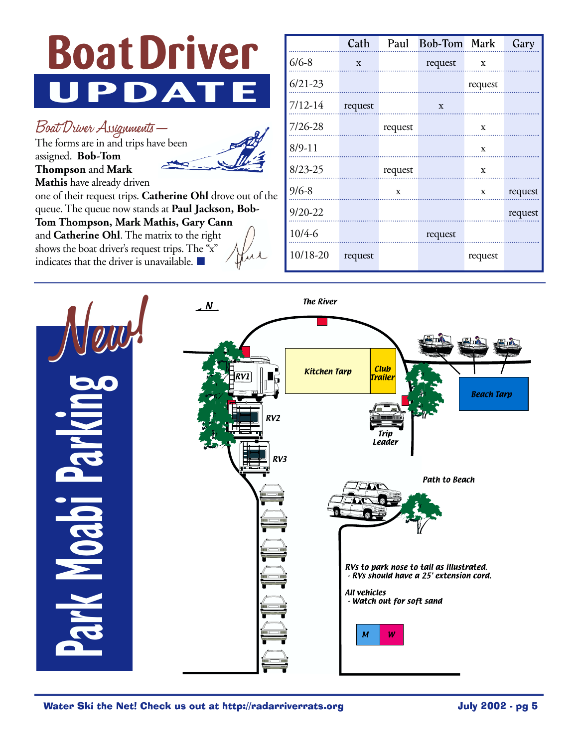

Boat Driver Assignments—

The forms are in and trips have been assigned. **Bob-Tom Thompson** and **Mark**



**Mathis** have already driven

one of their request trips. **Catherine Ohl** drove out of the queue. The queue now stands at **Paul Jackson, Bob-Tom Thompson, Mark Mathis, Gary Cann** and **Catherine Ohl**. The matrix to the right shows the boat driver's request trips. The "x" indicates that the driver is unavailable. ■

|             | Cath    |         | Paul Bob-Tom Mark |             | Gary    |
|-------------|---------|---------|-------------------|-------------|---------|
| $6/6 - 8$   | X       |         | request           | $\mathbf X$ |         |
| $6/21 - 23$ |         |         |                   | request     |         |
| $7/12 - 14$ | request |         | X                 |             |         |
| 7/26-28     |         | request |                   | X           |         |
| $8/9 - 11$  |         |         |                   | X           |         |
| $8/23 - 25$ |         | request |                   | X           |         |
| $9/6 - 8$   |         | X       |                   | X           | request |
| $9/20 - 22$ |         |         |                   |             | request |
| $10/4 - 6$  |         |         | request           |             |         |
| 10/18-20    | request |         |                   | request     |         |

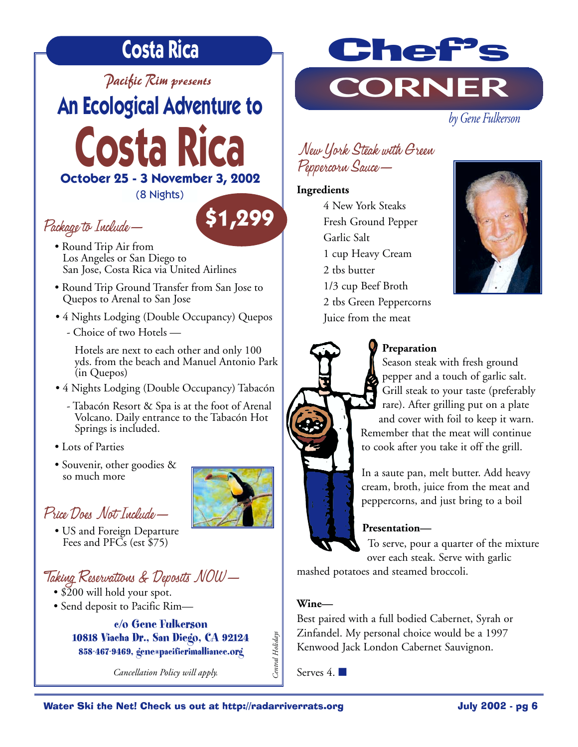# **Costa Rica**

*Pacific Rim presents*

*by Gene Fulkerson* **An Ecological Adventure to** 

**Costa Rica October 25 - 3 November 3, 2002**

(8 Nights)

## Package to Include—

- Round Trip Air from Los Angeles or San Diego to San Jose, Costa Rica via United Airlines
- Round Trip Ground Transfer from San Jose to Quepos to Arenal to San Jose
- 4 Nights Lodging (Double Occupancy) Quepos
	- Choice of two Hotels —

Hotels are next to each other and only 100 yds. from the beach and Manuel Antonio Park (in Quepos)

- 4 Nights Lodging (Double Occupancy) Tabacón
	- Tabacón Resort & Spa is at the foot of Arenal Volcano. Daily entrance to the Tabacón Hot Springs is included.
- Lots of Parties
- Souvenir, other goodies & so much more

# Price Does Not Include—

• US and Foreign Departure Fees and PFCs (est \$75)

# Taking Reservations & Deposits NOW—

- \$200 will hold your spot.
- Send deposit to Pacific Rim—

**c/o Gene Fulkerson 10818 Viacha Dr., San Diego, CA 92124 858-467-9469, gene@pacificrimalliance.org**

*Cancellation Policy will apply.* 



#### New York Steak with Green Peppercorn Sauce—

#### **Ingredients**

4 New York Steaks Fresh Ground Pepper Garlic Salt 1 cup Heavy Cream 2 tbs butter 1/3 cup Beef Broth 2 tbs Green Peppercorns Juice from the meat





#### **Preparation**

Season steak with fresh ground pepper and a touch of garlic salt. Grill steak to your taste (preferably rare). After grilling put on a plate and cover with foil to keep it warn. Remember that the meat will continue to cook after you take it off the grill.

In a saute pan, melt butter. Add heavy cream, broth, juice from the meat and peppercorns, and just bring to a boil

#### **Presentation—**

To serve, pour a quarter of the mixture over each steak. Serve with garlic

mashed potatoes and steamed broccoli.

#### **Wine—**

Central Holidays *Central Holidays* Best paired with a full bodied Cabernet, Syrah or Zinfandel. My personal choice would be a 1997 Kenwood Jack London Cabernet Sauvignon.

Serves 4. ■



**\$1,299**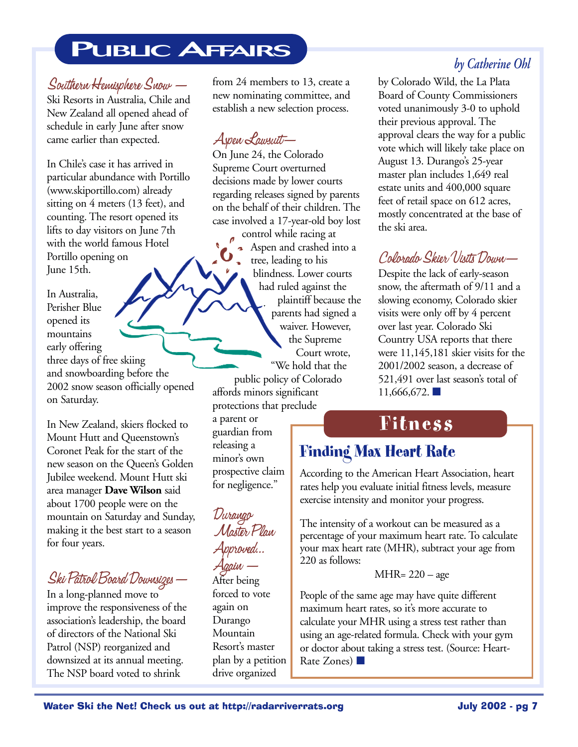# **PUBLIC AFFAIRS**

#### Southern Hemisphere Snow —

Ski Resorts in Australia, Chile and New Zealand all opened ahead of schedule in early June after snow came earlier than expected.

In Chile's case it has arrived in particular abundance with Portillo (www.skiportillo.com) already sitting on 4 meters (13 feet), and counting. The resort opened its lifts to day visitors on June 7th with the world famous Hotel Portillo opening on June 15th.

In Australia, Perisher Blue opened its mountains early offering three days of free skiing and snowboarding before the 2002 snow season officially opened on Saturday.

In New Zealand, skiers flocked to Mount Hutt and Queenstown's Coronet Peak for the start of the new season on the Queen's Golden Jubilee weekend. Mount Hutt ski area manager **Dave Wilson** said about 1700 people were on the mountain on Saturday and Sunday, making it the best start to a season for four years.

#### Ski Patrol Board Downsizes—

In a long-planned move to improve the responsiveness of the association's leadership, the board of directors of the National Ski Patrol (NSP) reorganized and downsized at its annual meeting. The NSP board voted to shrink

from 24 members to 13, create a new nominating committee, and establish a new selection process.

### Aspen Lawsuit—

On June 24, the Colorado Supreme Court overturned decisions made by lower courts regarding releases signed by parents on the behalf of their children. The case involved a 17-year-old boy lost

control while racing at Aspen and crashed into a tree, leading to his blindness. Lower courts had ruled against the plaintiff because the parents had signed a waiver. However, the Supreme Court wrote, "We hold that the

public policy of Colorado affords minors significant protections that preclude

a parent or guardian from releasing a minor's own prospective claim for negligence."

Durango Master Plan Approved... Again —

After being forced to vote again on Durango Mountain Resort's master plan by a petition drive organized

#### *by Catherine Ohl*

by Colorado Wild, the La Plata Board of County Commissioners voted unanimously 3-0 to uphold their previous approval. The approval clears the way for a public vote which will likely take place on August 13. Durango's 25-year master plan includes 1,649 real estate units and 400,000 square feet of retail space on 612 acres, mostly concentrated at the base of the ski area.

#### Colorado Skier Visits Down—

Despite the lack of early-season snow, the aftermath of 9/11 and a slowing economy, Colorado skier visits were only off by 4 percent over last year. Colorado Ski Country USA reports that there were 11,145,181 skier visits for the 2001/2002 season, a decrease of 521,491 over last season's total of 11,666,672. ■

# **Fitness**

### **Finding Max Heart Rate**

According to the American Heart Association, heart rates help you evaluate initial fitness levels, measure exercise intensity and monitor your progress.

The intensity of a workout can be measured as a percentage of your maximum heart rate. To calculate your max heart rate (MHR), subtract your age from 220 as follows:

#### MHR= 220 – age

People of the same age may have quite different maximum heart rates, so it's more accurate to calculate your MHR using a stress test rather than using an age-related formula. Check with your gym or doctor about taking a stress test. (Source: Heart-Rate Zones) ■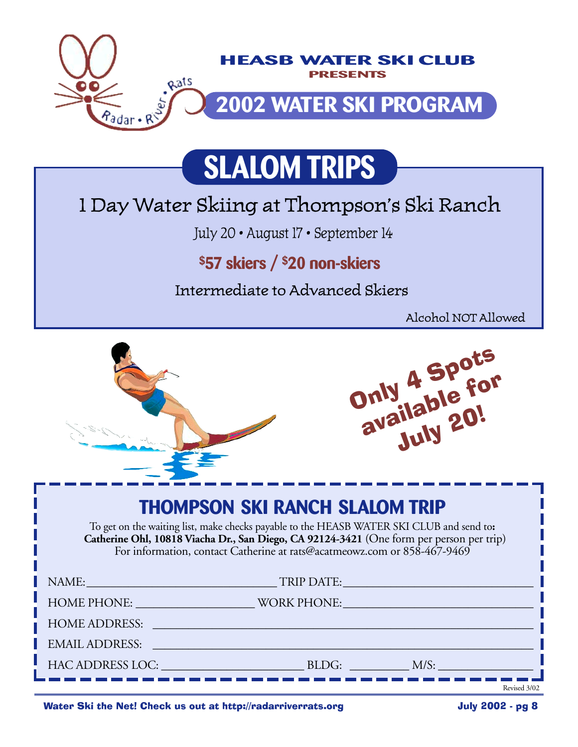

# **SLALOM TRIPS**

# 1 Day Water Skiing at Thompson's Ski Ranch

July 20 • August 17 • September 14

# **\$57 skiers / \$20 non-skiers**

Intermediate to Advanced Skiers

Alcohol NOT Allowed

|                                                                                                                                                                                                                                                                                                           |  | Only 4 Spots<br>available for |  |  |
|-----------------------------------------------------------------------------------------------------------------------------------------------------------------------------------------------------------------------------------------------------------------------------------------------------------|--|-------------------------------|--|--|
| <b>THOMPSON SKI RANCH SLALOM TRIP</b><br>To get on the waiting list, make checks payable to the HEASB WATER SKI CLUB and send to:<br>Catherine Ohl, 10818 Viacha Dr., San Diego, CA 92124-3421 (One form per person per trip)<br>For information, contact Catherine at rats@acatmeowz.com or 858-467-9469 |  |                               |  |  |
|                                                                                                                                                                                                                                                                                                           |  |                               |  |  |
| HOME PHONE: WORK PHONE:                                                                                                                                                                                                                                                                                   |  |                               |  |  |
| HOME ADDRESS: Latin and the state of the state of the state of the state of the state of the state of the state of the state of the state of the state of the state of the state of the state of the state of the state of the                                                                            |  |                               |  |  |
| <b>EMAIL ADDRESS:</b>                                                                                                                                                                                                                                                                                     |  |                               |  |  |
|                                                                                                                                                                                                                                                                                                           |  |                               |  |  |
|                                                                                                                                                                                                                                                                                                           |  | Revised 3/02                  |  |  |

Water Ski the Net! Check us out at http://radarriverrats.org **Sharehold State Ski the Net! Check** us out at http://radarriverrats.org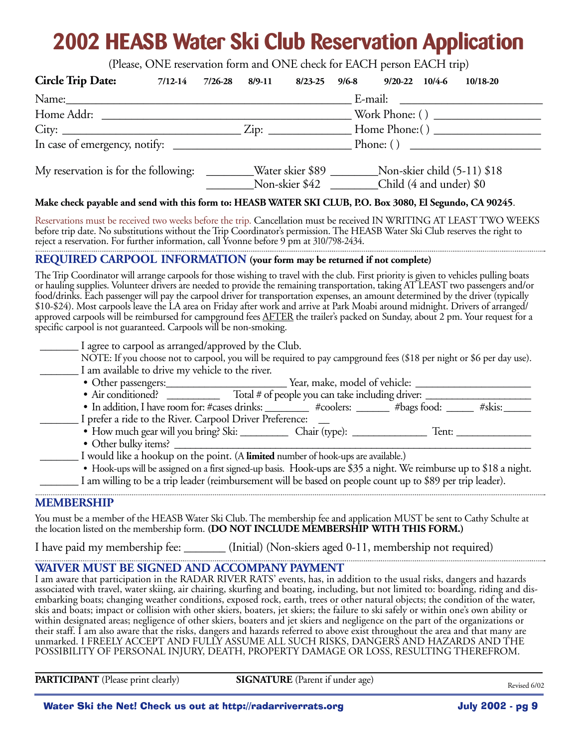# **2002 HEASB Water Ski Club Reservation Application**

(Please, ONE reservation form and ONE check for EACH person EACH trip)

| <b>Circle Trip Date:</b>                                                                                                                                                                                                                                                                                                                                                                                                                                                                                                                                                                                                                                                | $7/12-14$ $7/26-28$ | 8/9-11                                                                                                                                      | $8/23-25$ | $9/6 - 8$ | 9/20-22 10/4-6 10/18-20 |                                                                                                                     |  |
|-------------------------------------------------------------------------------------------------------------------------------------------------------------------------------------------------------------------------------------------------------------------------------------------------------------------------------------------------------------------------------------------------------------------------------------------------------------------------------------------------------------------------------------------------------------------------------------------------------------------------------------------------------------------------|---------------------|---------------------------------------------------------------------------------------------------------------------------------------------|-----------|-----------|-------------------------|---------------------------------------------------------------------------------------------------------------------|--|
|                                                                                                                                                                                                                                                                                                                                                                                                                                                                                                                                                                                                                                                                         |                     |                                                                                                                                             |           |           |                         |                                                                                                                     |  |
|                                                                                                                                                                                                                                                                                                                                                                                                                                                                                                                                                                                                                                                                         |                     |                                                                                                                                             |           |           |                         |                                                                                                                     |  |
|                                                                                                                                                                                                                                                                                                                                                                                                                                                                                                                                                                                                                                                                         |                     |                                                                                                                                             |           |           |                         |                                                                                                                     |  |
|                                                                                                                                                                                                                                                                                                                                                                                                                                                                                                                                                                                                                                                                         |                     |                                                                                                                                             |           |           | Phone: ()               |                                                                                                                     |  |
|                                                                                                                                                                                                                                                                                                                                                                                                                                                                                                                                                                                                                                                                         |                     | My reservation is for the following: ________Water skier \$89 ________Non-skier child (5-11) \$18<br>Non-skier \$42 Child (4 and under) \$0 |           |           |                         |                                                                                                                     |  |
| Make check payable and send with this form to: HEASB WATER SKI CLUB, P.O. Box 3080, El Segundo, CA 90245.                                                                                                                                                                                                                                                                                                                                                                                                                                                                                                                                                               |                     |                                                                                                                                             |           |           |                         |                                                                                                                     |  |
| Reservations must be received two weeks before the trip. Cancellation must be received IN WRITING AT LEAST TWO WEEKS<br>before trip date. No substitutions without the Trip Coordinator's permission. The HEASB Water Ski Club reserves the right to<br>reject a reservation. For further information, call Yvonne before 9 pm at 310/798-2434.                                                                                                                                                                                                                                                                                                                         |                     |                                                                                                                                             |           |           |                         |                                                                                                                     |  |
| REQUIRED CARPOOL INFORMATION (your form may be returned if not complete)                                                                                                                                                                                                                                                                                                                                                                                                                                                                                                                                                                                                |                     |                                                                                                                                             |           |           |                         |                                                                                                                     |  |
| or hauling supplies. Volunteer drivers are needed to provide the remaining transportation, taking AT LEAST two passengers and/or<br>food/drinks. Each passenger will pay the carpool driver for transportation expenses, an amount determined by the driver (typically<br>\$10-\$24). Most carpools leave the LA area on Friday after work and arrive at Park Moabi around midnight. Drivers of arranged/<br>approved carpools will be reimbursed for campground fees AFTER the trailer's packed on Sunday, about 2 pm. Your request for a<br>specific carpool is not guaranteed. Carpools will be non-smoking.<br>I agree to carpool as arranged/approved by the Club. |                     |                                                                                                                                             |           |           |                         |                                                                                                                     |  |
| NOTE: If you choose not to carpool, you will be required to pay campground fees (\$18 per night or \$6 per day use).<br>I am available to drive my vehicle to the river.                                                                                                                                                                                                                                                                                                                                                                                                                                                                                                |                     |                                                                                                                                             |           |           |                         |                                                                                                                     |  |
|                                                                                                                                                                                                                                                                                                                                                                                                                                                                                                                                                                                                                                                                         |                     |                                                                                                                                             |           |           |                         |                                                                                                                     |  |
|                                                                                                                                                                                                                                                                                                                                                                                                                                                                                                                                                                                                                                                                         |                     |                                                                                                                                             |           |           |                         |                                                                                                                     |  |
| I prefer a ride to the River. Carpool Driver Preference:                                                                                                                                                                                                                                                                                                                                                                                                                                                                                                                                                                                                                |                     |                                                                                                                                             |           |           |                         | • In addition, I have room for: #cases drinks: _________ #coolers: ______ #bags food: _____ #skis: _____            |  |
|                                                                                                                                                                                                                                                                                                                                                                                                                                                                                                                                                                                                                                                                         |                     |                                                                                                                                             |           |           |                         |                                                                                                                     |  |
| I would like a hookup on the point. (A limited number of hook-ups are available.)<br>I am willing to be a trip leader (reimbursement will be based on people count up to \$89 per trip leader).                                                                                                                                                                                                                                                                                                                                                                                                                                                                         |                     |                                                                                                                                             |           |           |                         | • Hook-ups will be assigned on a first signed-up basis. Hook-ups are \$35 a night. We reimburse up to \$18 a night. |  |
| <b>MEMBERSHIP</b>                                                                                                                                                                                                                                                                                                                                                                                                                                                                                                                                                                                                                                                       |                     |                                                                                                                                             |           |           |                         |                                                                                                                     |  |
|                                                                                                                                                                                                                                                                                                                                                                                                                                                                                                                                                                                                                                                                         |                     |                                                                                                                                             |           |           |                         |                                                                                                                     |  |

You must be a member of the HEASB Water Ski Club. The membership fee and application MUST be sent to Cathy Schulte at the location listed on the membership form. **(DO NOT INCLUDE MEMBERSHIP WITH THIS FORM.)**

I have paid my membership fee: \_\_\_\_\_\_\_ (Initial) (Non-skiers aged 0-11, membership not required)

#### **WAIVER MUST BE SIGNED AND ACCOMPANY PAYMENT**

I am aware that participation in the RADAR RIVER RATS' events, has, in addition to the usual risks, dangers and hazards associated with travel, water skiing, air chairing, skurfing and boating, including, but not limited to: boarding, riding and disembarking boats; changing weather conditions, exposed rock, earth, trees or other natural objects; the condition of the water, skis and boats; impact or collision with other skiers, boaters, jet skiers; the failure to ski safely or within one's own ability or within designated areas; negligence of other skiers, boaters and jet skiers and negligence on the part of the organizations or their staff. I am also aware that the risks, dangers and hazards referred to above exist throughout the area and that many are unmarked. I FREELY ACCEPT AND FULLY ASSUME ALL SUCH RISKS, DANGERS AND HAZARDS AND THE POSSIBILITY OF PERSONAL INJURY, DEATH, PROPERTY DAMAGE OR LOSS, RESULTING THEREFROM.

**PARTICIPANT** (Please print clearly) **SIGNATURE** (Parent if under age)